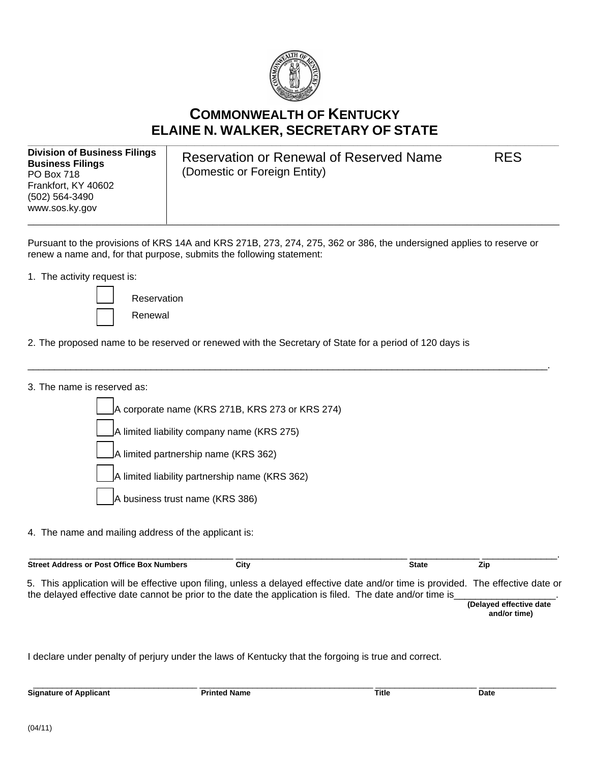

# **COMMONWEALTH OF KENTUCKY ELAINE N. WALKER, SECRETARY OF STATE**

**Division of Business Filings Business Filings**  PO Box 718 Frankfort, KY 40602 (502) 564-3490 www.sos.ky.gov \_\_\_\_\_\_\_\_\_\_\_\_\_\_\_\_\_\_\_\_\_\_\_\_\_\_\_\_\_\_\_\_\_\_\_\_\_\_\_\_\_\_\_\_\_\_\_\_\_\_\_\_\_\_\_\_\_\_\_\_\_\_\_\_\_\_\_\_\_\_\_\_\_\_\_\_\_\_\_\_\_\_\_\_\_\_\_\_\_\_\_\_

Reservation or Renewal of Reserved Name RES (Domestic or Foreign Entity)

Pursuant to the provisions of KRS 14A and KRS 271B, 273, 274, 275, 362 or 386, the undersigned applies to reserve or renew a name and, for that purpose, submits the following statement:

\_\_\_\_\_\_\_\_\_\_\_\_\_\_\_\_\_\_\_\_\_\_\_\_\_\_\_\_\_\_\_\_\_\_\_\_\_\_\_\_\_\_\_\_\_\_\_\_\_\_\_\_\_\_\_\_\_\_\_\_\_\_\_\_\_\_\_\_\_\_\_\_\_\_\_\_\_\_\_\_\_\_\_\_\_\_\_\_\_\_\_\_\_\_\_\_\_.

1. The activity request is:



Renewal

2. The proposed name to be reserved or renewed with the Secretary of State for a period of 120 days is

3. The name is reserved as:

A corporate name (KRS 271B, KRS 273 or KRS 274) A limited liability company name (KRS 275) A limited partnership name (KRS 362)

A limited liability partnership name (KRS 362)

- A business trust name (KRS 386)
- 4. The name and mailing address of the applicant is:

| <b>Street Address or Post Office Box Numbers</b>                                                                                  | City | <b>State</b> | Zip |  |
|-----------------------------------------------------------------------------------------------------------------------------------|------|--------------|-----|--|
| 5. This application will be effective upon filing, unless a delayed effective date and/or time is provided. The effective date or |      |              |     |  |
| the delayed effective date cannot be prior to the date the application is filed. The date and/or time is                          |      |              |     |  |

 **(Delayed effective date and/or time)** 

I declare under penalty of perjury under the laws of Kentucky that the forgoing is true and correct.